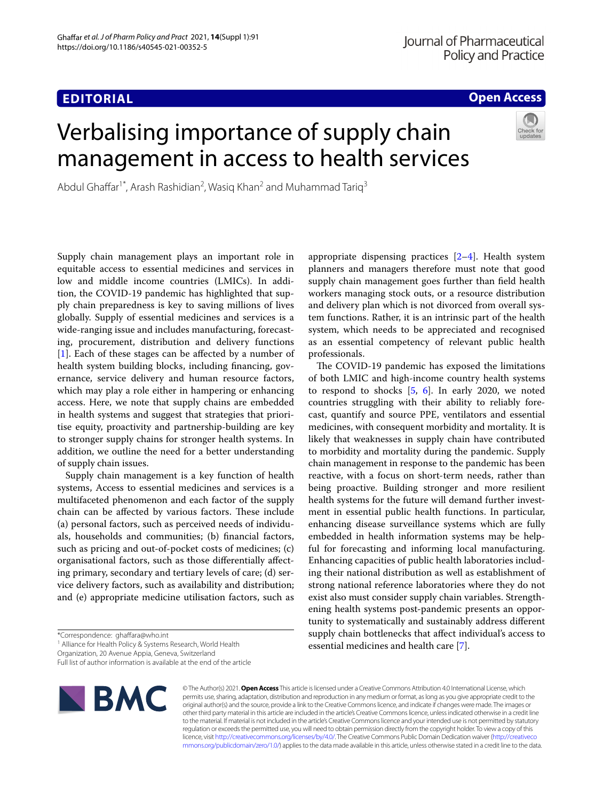### **EDITORIAL**

### **Open Access**

# Verbalising importance of supply chain management in access to health services



Abdul Ghaffar<sup>1\*</sup>, Arash Rashidian<sup>2</sup>, Wasiq Khan<sup>2</sup> and Muhammad Tariq<sup>3</sup>

Supply chain management plays an important role in equitable access to essential medicines and services in low and middle income countries (LMICs). In addition, the COVID-19 pandemic has highlighted that supply chain preparedness is key to saving millions of lives globally. Supply of essential medicines and services is a wide-ranging issue and includes manufacturing, forecasting, procurement, distribution and delivery functions [[1\]](#page-1-0). Each of these stages can be affected by a number of health system building blocks, including fnancing, governance, service delivery and human resource factors, which may play a role either in hampering or enhancing access. Here, we note that supply chains are embedded in health systems and suggest that strategies that prioritise equity, proactivity and partnership-building are key to stronger supply chains for stronger health systems. In addition, we outline the need for a better understanding of supply chain issues.

Supply chain management is a key function of health systems, Access to essential medicines and services is a multifaceted phenomenon and each factor of the supply chain can be affected by various factors. These include (a) personal factors, such as perceived needs of individuals, households and communities; (b) fnancial factors, such as pricing and out-of-pocket costs of medicines; (c) organisational factors, such as those diferentially afecting primary, secondary and tertiary levels of care; (d) service delivery factors, such as availability and distribution; and (e) appropriate medicine utilisation factors, such as

<sup>1</sup> Alliance for Health Policy & Systems Research, World Health

Organization, 20 Avenue Appia, Geneva, Switzerland

Full list of author information is available at the end of the article



© The Author(s) 2021. **Open Access** This article is licensed under a Creative Commons Attribution 4.0 International License, which permits use, sharing, adaptation, distribution and reproduction in any medium or format, as long as you give appropriate credit to the original author(s) and the source, provide a link to the Creative Commons licence, and indicate if changes were made. The images or other third party material in this article are included in the article's Creative Commons licence, unless indicated otherwise in a credit line to the material. If material is not included in the article's Creative Commons licence and your intended use is not permitted by statutory regulation or exceeds the permitted use, you will need to obtain permission directly from the copyright holder. To view a copy of this licence, visit [http://creativecommons.org/licenses/by/4.0/.](http://creativecommons.org/licenses/by/4.0/) The Creative Commons Public Domain Dedication waiver ([http://creativeco](http://creativecommons.org/publicdomain/zero/1.0/) [mmons.org/publicdomain/zero/1.0/](http://creativecommons.org/publicdomain/zero/1.0/)) applies to the data made available in this article, unless otherwise stated in a credit line to the data.

appropriate dispensing practices [\[2](#page-1-1)[–4](#page-2-0)]. Health system planners and managers therefore must note that good supply chain management goes further than feld health workers managing stock outs, or a resource distribution and delivery plan which is not divorced from overall system functions. Rather, it is an intrinsic part of the health system, which needs to be appreciated and recognised as an essential competency of relevant public health professionals.

The COVID-19 pandemic has exposed the limitations of both LMIC and high-income country health systems to respond to shocks  $[5, 6]$  $[5, 6]$  $[5, 6]$  $[5, 6]$ . In early 2020, we noted countries struggling with their ability to reliably forecast, quantify and source PPE, ventilators and essential medicines, with consequent morbidity and mortality. It is likely that weaknesses in supply chain have contributed to morbidity and mortality during the pandemic. Supply chain management in response to the pandemic has been reactive, with a focus on short-term needs, rather than being proactive. Building stronger and more resilient health systems for the future will demand further investment in essential public health functions. In particular, enhancing disease surveillance systems which are fully embedded in health information systems may be helpful for forecasting and informing local manufacturing. Enhancing capacities of public health laboratories including their national distribution as well as establishment of strong national reference laboratories where they do not exist also must consider supply chain variables. Strengthening health systems post-pandemic presents an opportunity to systematically and sustainably address diferent supply chain bottlenecks that afect individual's access to essential medicines and health care [[7\]](#page-2-3).

<sup>\*</sup>Correspondence: ghaffara@who.int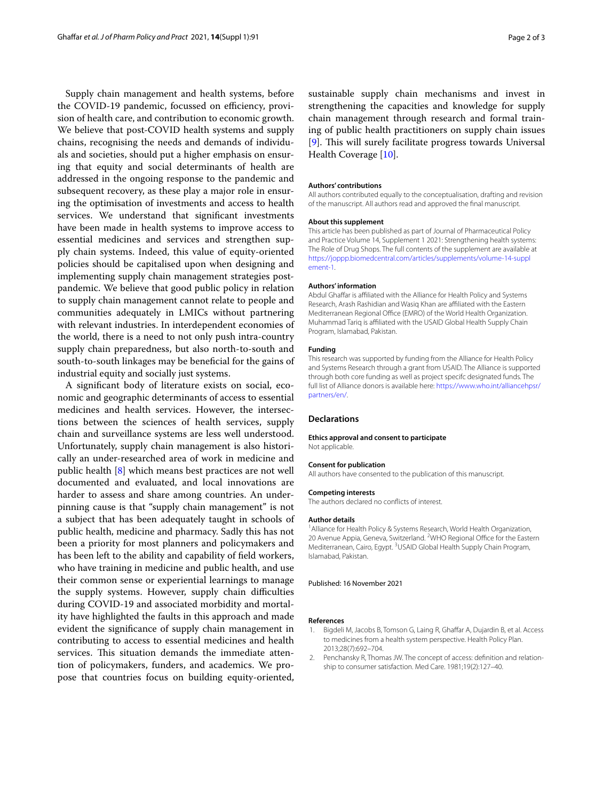Supply chain management and health systems, before the COVID-19 pandemic, focussed on efficiency, provision of health care, and contribution to economic growth. We believe that post-COVID health systems and supply chains, recognising the needs and demands of individuals and societies, should put a higher emphasis on ensuring that equity and social determinants of health are addressed in the ongoing response to the pandemic and subsequent recovery, as these play a major role in ensuring the optimisation of investments and access to health services. We understand that signifcant investments have been made in health systems to improve access to essential medicines and services and strengthen supply chain systems. Indeed, this value of equity-oriented policies should be capitalised upon when designing and implementing supply chain management strategies postpandemic. We believe that good public policy in relation to supply chain management cannot relate to people and communities adequately in LMICs without partnering with relevant industries. In interdependent economies of the world, there is a need to not only push intra-country supply chain preparedness, but also north-to-south and south-to-south linkages may be benefcial for the gains of industrial equity and socially just systems.

A signifcant body of literature exists on social, economic and geographic determinants of access to essential medicines and health services. However, the intersections between the sciences of health services, supply chain and surveillance systems are less well understood. Unfortunately, supply chain management is also historically an under-researched area of work in medicine and public health [\[8](#page-2-4)] which means best practices are not well documented and evaluated, and local innovations are harder to assess and share among countries. An underpinning cause is that "supply chain management" is not a subject that has been adequately taught in schools of public health, medicine and pharmacy. Sadly this has not been a priority for most planners and policymakers and has been left to the ability and capability of feld workers, who have training in medicine and public health, and use their common sense or experiential learnings to manage the supply systems. However, supply chain difficulties during COVID-19 and associated morbidity and mortality have highlighted the faults in this approach and made evident the signifcance of supply chain management in contributing to access to essential medicines and health services. This situation demands the immediate attention of policymakers, funders, and academics. We propose that countries focus on building equity-oriented, sustainable supply chain mechanisms and invest in strengthening the capacities and knowledge for supply chain management through research and formal training of public health practitioners on supply chain issues [[9\]](#page-2-5). This will surely facilitate progress towards Universal Health Coverage [\[10](#page-2-6)].

#### **Authors' contributions**

All authors contributed equally to the conceptualisation, drafting and revision of the manuscript. All authors read and approved the fnal manuscript.

### **About this supplement**

This article has been published as part of Journal of Pharmaceutical Policy and Practice Volume 14, Supplement 1 2021: Strengthening health systems: The Role of Drug Shops. The full contents of the supplement are available at [https://joppp.biomedcentral.com/articles/supplements/volume-14-suppl](https://joppp.biomedcentral.com/articles/supplements/volume-14-supplement-1) [ement-1](https://joppp.biomedcentral.com/articles/supplements/volume-14-supplement-1).

### **Authors' information**

Abdul Ghaffar is affiliated with the Alliance for Health Policy and Systems Research, Arash Rashidian and Wasiq Khan are afliated with the Eastern Mediterranean Regional Office (EMRO) of the World Health Organization. Muhammad Tariq is affiliated with the USAID Global Health Supply Chain Program, Islamabad, Pakistan.

### **Funding**

This research was supported by funding from the Alliance for Health Policy and Systems Research through a grant from USAID. The Alliance is supported through both core funding as well as project specifc designated funds. The full list of Alliance donors is available here: [https://www.who.int/alliancehpsr/](https://www.who.int/alliancehpsr/partners/en/) [partners/en/.](https://www.who.int/alliancehpsr/partners/en/)

### **Declarations**

### **Ethics approval and consent to participate** Not applicable.

### **Consent for publication**

All authors have consented to the publication of this manuscript.

#### **Competing interests**

The authors declared no conficts of interest.

### **Author details**

<sup>1</sup> Alliance for Health Policy & Systems Research, World Health Organization, 20 Avenue Appia, Geneva, Switzerland. <sup>2</sup>WHO Regional Office for the Eastern Mediterranean, Cairo, Egypt. <sup>3</sup>USAID Global Health Supply Chain Program, Islamabad, Pakistan.

### Published: 16 November 2021

#### **References**

- <span id="page-1-0"></span>1. Bigdeli M, Jacobs B, Tomson G, Laing R, Ghaffar A, Dujardin B, et al. Access to medicines from a health system perspective. Health Policy Plan. 2013;28(7):692–704.
- <span id="page-1-1"></span>2. Penchansky R, Thomas JW. The concept of access: defnition and relationship to consumer satisfaction. Med Care. 1981;19(2):127–40.